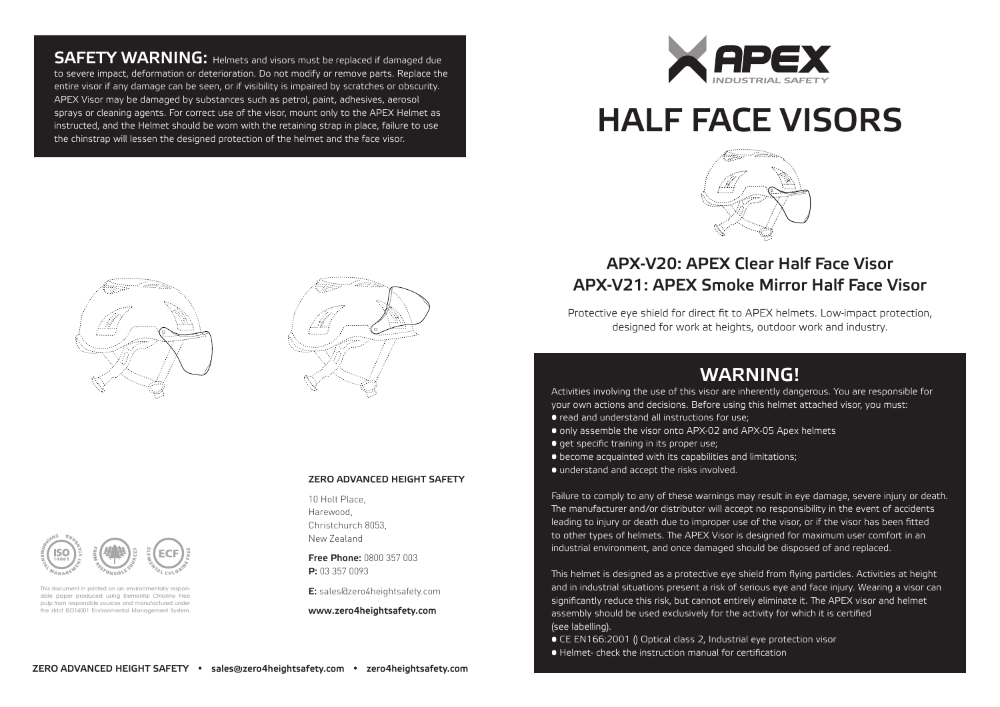**SAFETY WARNING:** Helmets and visors must be replaced if damaged due to severe impact, deformation or deterioration. Do not modify or remove parts. Replace the entire visor if any damage can be seen, or if visibility is impaired by scratches or obscurity. APEX Visor may be damaged by substances such as petrol, paint, adhesives, aerosol sprays or cleaning agents. For correct use of the visor, mount only to the APEX Helmet as instructed, and the Helmet should be worn with the retaining strap in place, failure to use the chinstrap will lessen the designed protection of the helmet and the face visor.



## HALF FACE VISORS



#### APX-V20: APEX Clear Half Face Visor APX-V21: APEX Smoke Mirror Half Face Visor

Protective eye shield for direct fit to APEX helmets. Low-impact protection, designed for work at heights, outdoor work and industry.

### WARNING!

Activities involving the use of this visor are inherently dangerous. You are responsible for your own actions and decisions. Before using this helmet attached visor, you must:

- read and understand all instructions for use;
- only assemble the visor onto APX-02 and APX-05 Apex helmets
- **•** get specific training in its proper use;
- become acquainted with its capabilities and limitations;
- understand and accept the risks involved.

Failure to comply to any of these warnings may result in eye damage, severe injury or death. The manufacturer and/or distributor will accept no responsibility in the event of accidents leading to injury or death due to improper use of the visor, or if the visor has been fitted to other types of helmets. The APEX Visor is designed for maximum user comfort in an industrial environment, and once damaged should be disposed of and replaced.

This helmet is designed as a protective eye shield from flying particles. Activities at height and in industrial situations present a risk of serious eye and face injury. Wearing a visor can significantly reduce this risk, but cannot entirely eliminate it. The APEX visor and helmet assembly should be used exclusively for the activity for which it is certified (see labelling).

- CE EN166:2001 () Optical class 2, Industrial eye protection visor
- Helmet- check the instruction manual for certification







This document in printed on an environmentally respone sible paper produced using Elemental Chlorine Free pulp from responsible sources and manufactured under the strict ISO14001 Environmental Management System.

#### ZERO ADVANCED HEIGHT SAFETY

10 Holt Place, Harewood, Christchurch 8053, New Zealand

Free Phone: 0800 357 003 P: 03 357 0093

E: sales@zero4heightsafety.com

www.zero4heightsafety.com